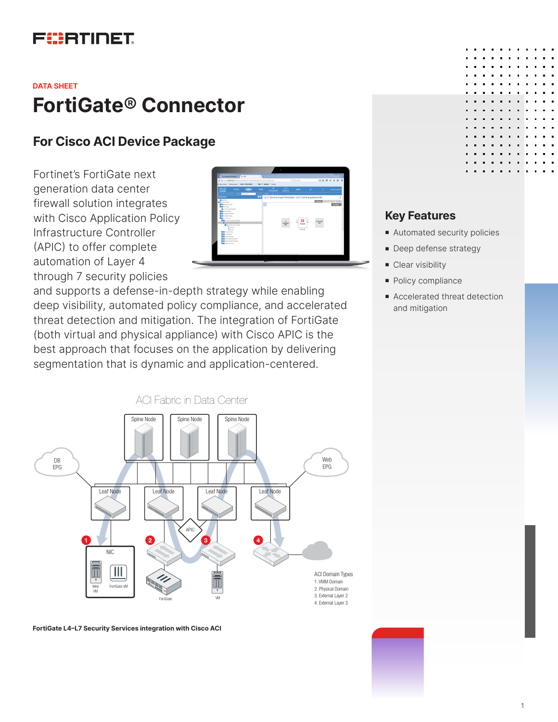# FURTINET

# **FortiGate**® **Connector DATA SHEET**

## **For Cisco ACI Device Package**

Fortinet's FortiGate next generation data center firewall solution integrates with Cisco Application Policy Infrastructure Controller (APIC) to offer complete automation of Layer 4 through 7 security policies



and supports a defense-in-depth strategy while enabling deep visibility, automated policy compliance, and accelerated threat detection and mitigation. The integration of FortiGate (both virtual and physical appliance) with Cisco APIC is the best approach that focuses on the application by delivering segmentation that is dynamic and application-centered.



**FortiGate L4–L7 Security Services integration with Cisco ACI**

#### **Key Features**

- Automated security policies
- **Deep defense strategy**
- Clear visibility
- Policy compliance
- **Accelerated threat detection** and mitigation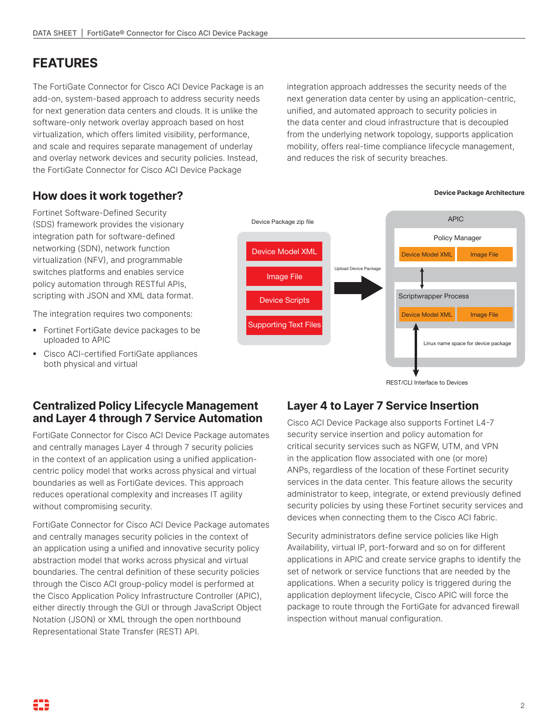# **FEATURES**

The FortiGate Connector for Cisco ACI Device Package is an add-on, system-based approach to address security needs for next generation data centers and clouds. It is unlike the software-only network overlay approach based on host virtualization, which offers limited visibility, performance, and scale and requires separate management of underlay and overlay network devices and security policies. Instead, the FortiGate Connector for Cisco ACI Device Package

integration approach addresses the security needs of the next generation data center by using an application-centric, unified, and automated approach to security policies in the data center and cloud infrastructure that is decoupled from the underlying network topology, supports application mobility, offers real-time compliance lifecycle management, and reduces the risk of security breaches.

## **How does it work together?**

Fortinet Software-Defined Security (SDS) framework provides the visionary integration path for software-defined networking (SDN), network function virtualization (NFV), and programmable switches platforms and enables service policy automation through RESTful APIs, scripting with JSON and XML data format.

The integration requires two components:

- **•** Fortinet FortiGate device packages to be uploaded to APIC
- § Cisco ACI-certified FortiGate appliances both physical and virtual



REST/CLI Interface to Devices

#### **Centralized Policy Lifecycle Management and Layer 4 through 7 Service Automation**

FortiGate Connector for Cisco ACI Device Package automates and centrally manages Layer 4 through 7 security policies in the context of an application using a unified applicationcentric policy model that works across physical and virtual boundaries as well as FortiGate devices. This approach reduces operational complexity and increases IT agility without compromising security.

FortiGate Connector for Cisco ACI Device Package automates and centrally manages security policies in the context of an application using a unified and innovative security policy abstraction model that works across physical and virtual boundaries. The central definition of these security policies through the Cisco ACI group-policy model is performed at the Cisco Application Policy Infrastructure Controller (APIC), either directly through the GUI or through JavaScript Object Notation (JSON) or XML through the open northbound Representational State Transfer (REST) API.

### **Layer 4 to Layer 7 Service Insertion**

Cisco ACI Device Package also supports Fortinet L4-7 security service insertion and policy automation for critical security services such as NGFW, UTM, and VPN in the application flow associated with one (or more) ANPs, regardless of the location of these Fortinet security services in the data center. This feature allows the security administrator to keep, integrate, or extend previously defined security policies by using these Fortinet security services and devices when connecting them to the Cisco ACI fabric.

Security administrators define service policies like High Availability, virtual IP, port-forward and so on for different applications in APIC and create service graphs to identify the set of network or service functions that are needed by the applications. When a security policy is triggered during the application deployment lifecycle, Cisco APIC will force the package to route through the FortiGate for advanced firewall inspection without manual configuration.

#### **Device Package Architecture**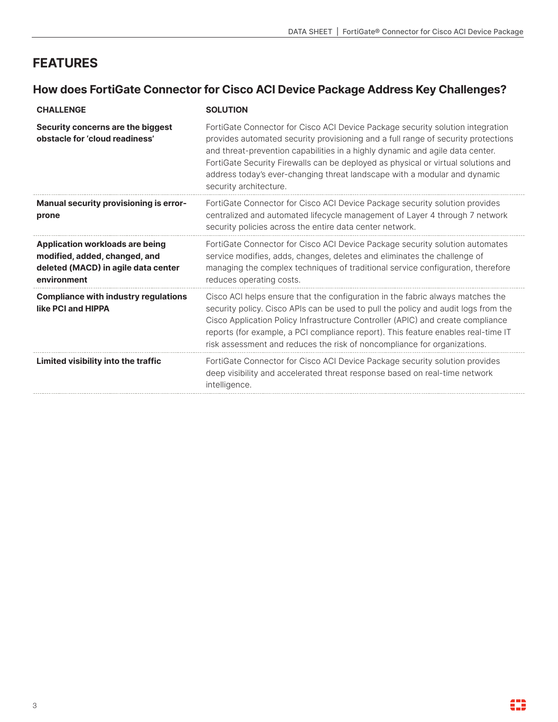# **FEATURES**

## **How does FortiGate Connector for Cisco ACI Device Package Address Key Challenges?**

| <b>CHALLENGE</b>                                                                                                              | <b>SOLUTION</b>                                                                                                                                                                                                                                                                                                                                                                                                                                  |
|-------------------------------------------------------------------------------------------------------------------------------|--------------------------------------------------------------------------------------------------------------------------------------------------------------------------------------------------------------------------------------------------------------------------------------------------------------------------------------------------------------------------------------------------------------------------------------------------|
| Security concerns are the biggest<br>obstacle for 'cloud readiness'                                                           | FortiGate Connector for Cisco ACI Device Package security solution integration<br>provides automated security provisioning and a full range of security protections<br>and threat-prevention capabilities in a highly dynamic and agile data center.<br>FortiGate Security Firewalls can be deployed as physical or virtual solutions and<br>address today's ever-changing threat landscape with a modular and dynamic<br>security architecture. |
| <b>Manual security provisioning is error-</b><br>prone                                                                        | FortiGate Connector for Cisco ACI Device Package security solution provides<br>centralized and automated lifecycle management of Layer 4 through 7 network<br>security policies across the entire data center network.                                                                                                                                                                                                                           |
| <b>Application workloads are being</b><br>modified, added, changed, and<br>deleted (MACD) in agile data center<br>environment | FortiGate Connector for Cisco ACI Device Package security solution automates<br>service modifies, adds, changes, deletes and eliminates the challenge of<br>managing the complex techniques of traditional service configuration, therefore<br>reduces operating costs.                                                                                                                                                                          |
| <b>Compliance with industry regulations</b><br>like PCI and HIPPA                                                             | Cisco ACI helps ensure that the configuration in the fabric always matches the<br>security policy. Cisco APIs can be used to pull the policy and audit logs from the<br>Cisco Application Policy Infrastructure Controller (APIC) and create compliance<br>reports (for example, a PCI compliance report). This feature enables real-time IT<br>risk assessment and reduces the risk of noncompliance for organizations.                         |
| Limited visibility into the traffic                                                                                           | FortiGate Connector for Cisco ACI Device Package security solution provides<br>deep visibility and accelerated threat response based on real-time network<br>intelligence.                                                                                                                                                                                                                                                                       |